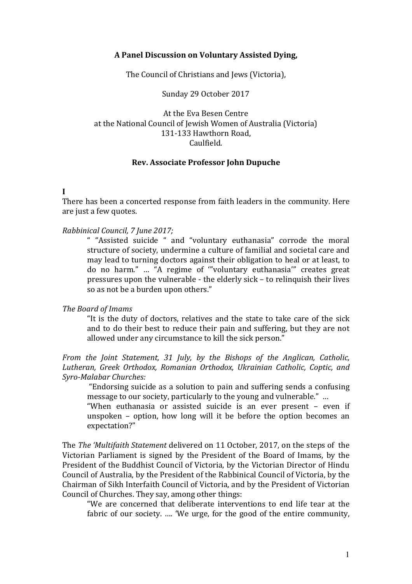### **A Panel Discussion on Voluntary Assisted Dying,**

The Council of Christians and Jews (Victoria),

Sunday 29 October 2017

At the Eva Besen Centre at the National Council of Jewish Women of Australia (Victoria) 131-133 Hawthorn Road, Caulfield.

#### **Rev. Associate Professor John Dupuche**

**I** 

There has been a concerted response from faith leaders in the community. Here are just a few quotes.

#### *Rabbinical Council, 7 June 2017;*

" "Assisted suicide " and "voluntary euthanasia" corrode the moral structure of society, undermine a culture of familial and societal care and may lead to turning doctors against their obligation to heal or at least, to do no harm." … "A regime of '"voluntary euthanasia'" creates great pressures upon the vulnerable - the elderly sick – to relinquish their lives so as not be a burden upon others."

#### *The Board of Imams*

"It is the duty of doctors, relatives and the state to take care of the sick and to do their best to reduce their pain and suffering, but they are not allowed under any circumstance to kill the sick person."

*From the Joint Statement, 31 July, by the Bishops of the Anglican, Catholic, Lutheran, Greek Orthodox, Romanian Orthodox, Ukrainian Catholic, Coptic, and Syro-Malabar Churches:* 

 "Endorsing suicide as a solution to pain and suffering sends a confusing message to our society, particularly to the young and vulnerable." …

"When euthanasia or assisted suicide is an ever present – even if unspoken – option, how long will it be before the option becomes an expectation?"

The *The 'Multifaith Statement* delivered on 11 October, 2017, on the steps of the Victorian Parliament is signed by the President of the Board of Imams, by the President of the Buddhist Council of Victoria, by the Victorian Director of Hindu Council of Australia, by the President of the Rabbinical Council of Victoria, by the Chairman of Sikh Interfaith Council of Victoria, and by the President of Victorian Council of Churches. They say, among other things:

"We are concerned that deliberate interventions to end life tear at the fabric of our society. …. 'We urge, for the good of the entire community,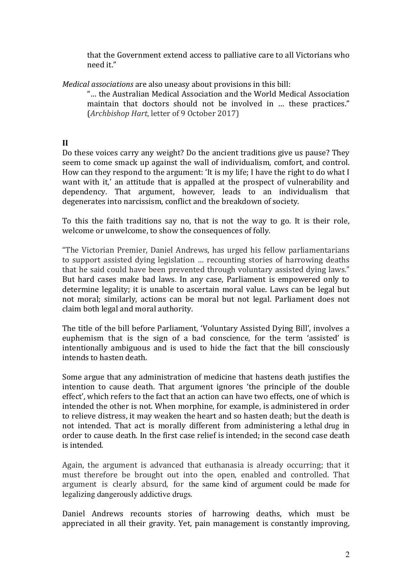that the Government extend access to palliative care to all Victorians who need it."

*Medical associations* are also uneasy about provisions in this bill:

"… the Australian Medical Association and the World Medical Association maintain that doctors should not be involved in … these practices." (*Archbishop Hart*, letter of 9 October 2017)

# **II**

Do these voices carry any weight? Do the ancient traditions give us pause? They seem to come smack up against the wall of individualism, comfort, and control. How can they respond to the argument: 'It is my life; I have the right to do what I want with it,' an attitude that is appalled at the prospect of vulnerability and dependency. That argument, however, leads to an individualism that degenerates into narcissism, conflict and the breakdown of society.

To this the faith traditions say no, that is not the way to go. It is their role, welcome or unwelcome, to show the consequences of folly.

"The Victorian Premier, Daniel Andrews, has urged his fellow parliamentarians to support assisted dying legislation … recounting stories of harrowing deaths that he said could have been prevented through voluntary assisted dying laws." But hard cases make bad laws. In any case, Parliament is empowered only to determine legality; it is unable to ascertain moral value. Laws can be legal but not moral; similarly, actions can be moral but not legal. Parliament does not claim both legal and moral authority.

The title of the bill before Parliament, 'Voluntary Assisted Dying Bill', involves a euphemism that is the sign of a bad conscience, for the term 'assisted' is intentionally ambiguous and is used to hide the fact that the bill consciously intends to hasten death.

Some argue that any administration of medicine that hastens death justifies the intention to cause death. That argument ignores 'the principle of the double effect', which refers to the fact that an action can have two effects, one of which is intended the other is not. When morphine, for example, is administered in order to relieve distress, it may weaken the heart and so hasten death; but the death is not intended. That act is morally different from administering a lethal drug in order to cause death. In the first case relief is intended; in the second case death is intended.

Again, the argument is advanced that euthanasia is already occurring; that it must therefore be brought out into the open, enabled and controlled. That argument is clearly absurd, for the same kind of argument could be made for legalizing dangerously addictive drugs.

Daniel Andrews recounts stories of harrowing deaths, which must be appreciated in all their gravity. Yet, pain management is constantly improving,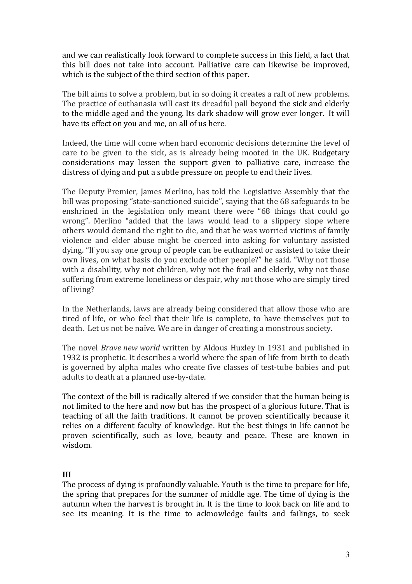and we can realistically look forward to complete success in this field, a fact that this bill does not take into account. Palliative care can likewise be improved, which is the subject of the third section of this paper.

The bill aims to solve a problem, but in so doing it creates a raft of new problems. The practice of euthanasia will cast its dreadful pall beyond the sick and elderly to the middle aged and the young. Its dark shadow will grow ever longer. It will have its effect on you and me, on all of us here.

Indeed, the time will come when hard economic decisions determine the level of care to be given to the sick, as is already being mooted in the UK. Budgetary considerations may lessen the support given to palliative care, increase the distress of dying and put a subtle pressure on people to end their lives.

The Deputy Premier, James Merlino, has told the Legislative Assembly that the bill was proposing "state-sanctioned suicide", saying that the 68 safeguards to be enshrined in the legislation only meant there were "68 things that could go wrong". Merlino "added that the laws would lead to a slippery slope where others would demand the right to die, and that he was worried victims of family violence and elder abuse might be coerced into asking for voluntary assisted dying. "If you say one group of people can be euthanized or assisted to take their own lives, on what basis do you exclude other people?" he said. "Why not those with a disability, why not children, why not the frail and elderly, why not those suffering from extreme loneliness or despair, why not those who are simply tired of living?

In the Netherlands, laws are already being considered that allow those who are tired of life, or who feel that their life is complete, to have themselves put to death. Let us not be naïve. We are in danger of creating a monstrous society.

The novel *Brave new world* written by Aldous Huxley in 1931 and published in 1932 is prophetic. It describes a world where the span of life from birth to death is governed by alpha males who create five classes of test-tube babies and put adults to death at a planned use-by-date.

The context of the bill is radically altered if we consider that the human being is not limited to the here and now but has the prospect of a glorious future. That is teaching of all the faith traditions. It cannot be proven scientifically because it relies on a different faculty of knowledge. But the best things in life cannot be proven scientifically, such as love, beauty and peace. These are known in wisdom.

## **III**

The process of dying is profoundly valuable. Youth is the time to prepare for life, the spring that prepares for the summer of middle age. The time of dying is the autumn when the harvest is brought in. It is the time to look back on life and to see its meaning. It is the time to acknowledge faults and failings, to seek